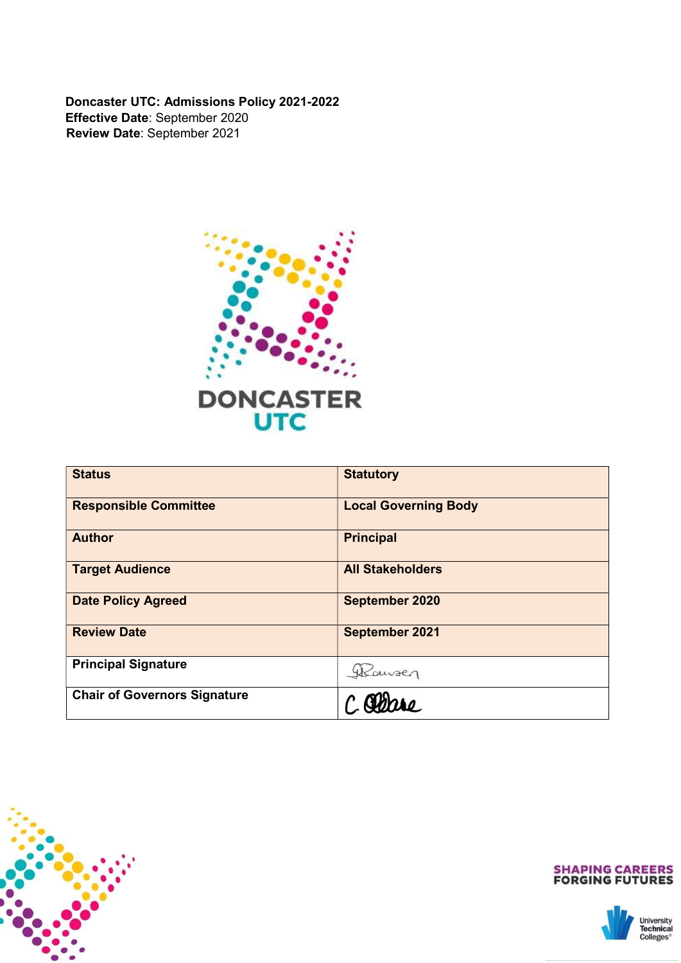Doncaster UTC: Admissions Policy 2021-2022 Effective Date: September 2020 Review Date: September 2021



| <b>Status</b>                       | <b>Statutory</b>            |
|-------------------------------------|-----------------------------|
| <b>Responsible Committee</b>        | <b>Local Governing Body</b> |
| <b>Author</b>                       | <b>Principal</b>            |
| <b>Target Audience</b>              | <b>All Stakeholders</b>     |
| <b>Date Policy Agreed</b>           | <b>September 2020</b>       |
| <b>Review Date</b>                  | <b>September 2021</b>       |
| <b>Principal Signature</b>          | Wourser                     |
| <b>Chair of Governors Signature</b> |                             |





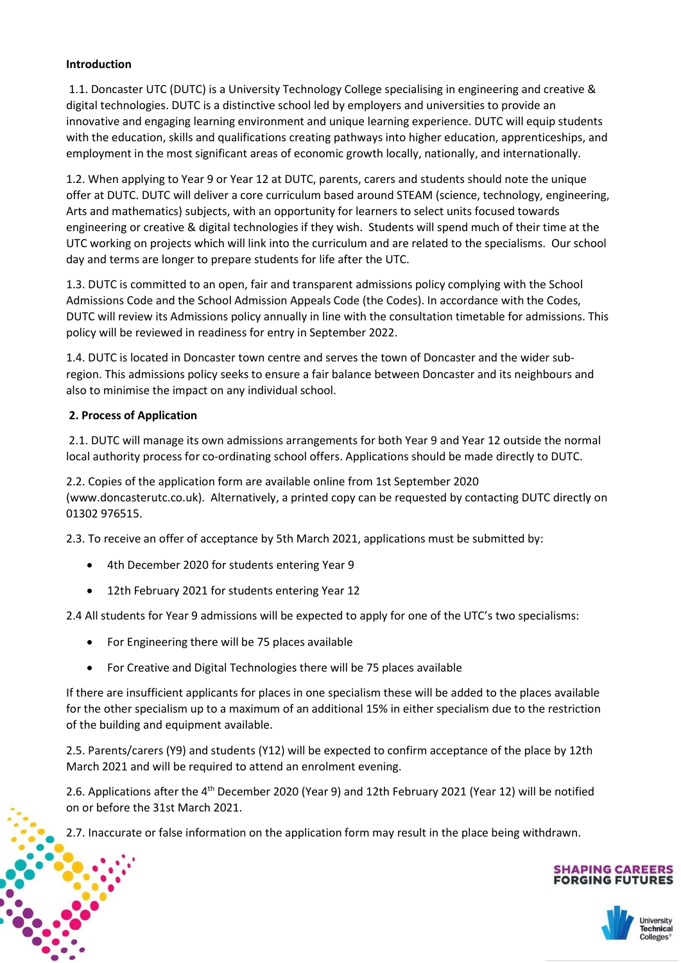## Introduction

 1.1. Doncaster UTC (DUTC) is a University Technology College specialising in engineering and creative & digital technologies. DUTC is a distinctive school led by employers and universities to provide an innovative and engaging learning environment and unique learning experience. DUTC will equip students with the education, skills and qualifications creating pathways into higher education, apprenticeships, and employment in the most significant areas of economic growth locally, nationally, and internationally.

1.2. When applying to Year 9 or Year 12 at DUTC, parents, carers and students should note the unique offer at DUTC. DUTC will deliver a core curriculum based around STEAM (science, technology, engineering, Arts and mathematics) subjects, with an opportunity for learners to select units focused towards engineering or creative & digital technologies if they wish. Students will spend much of their time at the UTC working on projects which will link into the curriculum and are related to the specialisms. Our school day and terms are longer to prepare students for life after the UTC.

1.3. DUTC is committed to an open, fair and transparent admissions policy complying with the School Admissions Code and the School Admission Appeals Code (the Codes). In accordance with the Codes, DUTC will review its Admissions policy annually in line with the consultation timetable for admissions. This policy will be reviewed in readiness for entry in September 2022.

1.4. DUTC is located in Doncaster town centre and serves the town of Doncaster and the wider subregion. This admissions policy seeks to ensure a fair balance between Doncaster and its neighbours and also to minimise the impact on any individual school.

## 2. Process of Application

l

 2.1. DUTC will manage its own admissions arrangements for both Year 9 and Year 12 outside the normal local authority process for co-ordinating school offers. Applications should be made directly to DUTC.

2.2. Copies of the application form are available online from 1st September 2020 (www.doncasterutc.co.uk). Alternatively, a printed copy can be requested by contacting DUTC directly on 01302 976515.

2.3. To receive an offer of acceptance by 5th March 2021, applications must be submitted by:

- 4th December 2020 for students entering Year 9
- 12th February 2021 for students entering Year 12

2.4 All students for Year 9 admissions will be expected to apply for one of the UTC's two specialisms:

- For Engineering there will be 75 places available
- For Creative and Digital Technologies there will be 75 places available

If there are insufficient applicants for places in one specialism these will be added to the places available for the other specialism up to a maximum of an additional 15% in either specialism due to the restriction of the building and equipment available.

2.5. Parents/carers (Y9) and students (Y12) will be expected to confirm acceptance of the place by 12th March 2021 and will be required to attend an enrolment evening.

2.6. Applications after the 4<sup>th</sup> December 2020 (Year 9) and 12th February 2021 (Year 12) will be notified on or before the 31st March 2021.

2.7. Inaccurate or false information on the application form may result in the place being withdrawn.

# **SHAPING CAREERS<br>FORGING FUTURES**

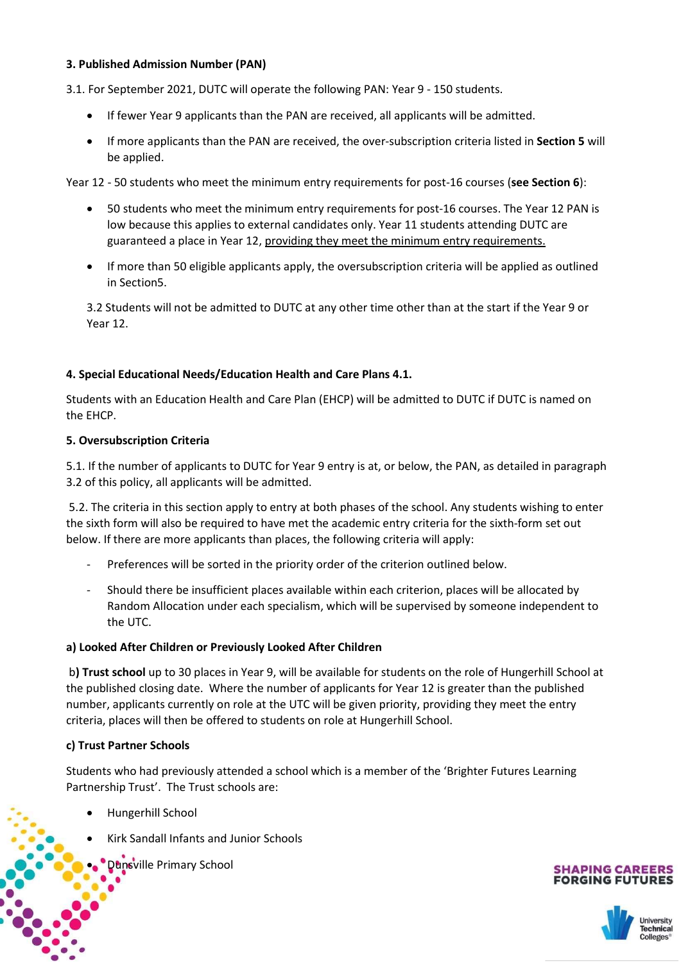# 3. Published Admission Number (PAN)

3.1. For September 2021, DUTC will operate the following PAN: Year 9 - 150 students.

- If fewer Year 9 applicants than the PAN are received, all applicants will be admitted.
- If more applicants than the PAN are received, the over-subscription criteria listed in Section 5 will be applied.

Year 12 - 50 students who meet the minimum entry requirements for post-16 courses (see Section 6):

- 50 students who meet the minimum entry requirements for post-16 courses. The Year 12 PAN is low because this applies to external candidates only. Year 11 students attending DUTC are guaranteed a place in Year 12, providing they meet the minimum entry requirements.
- If more than 50 eligible applicants apply, the oversubscription criteria will be applied as outlined in Section5.

3.2 Students will not be admitted to DUTC at any other time other than at the start if the Year 9 or Year 12.

## 4. Special Educational Needs/Education Health and Care Plans 4.1.

Students with an Education Health and Care Plan (EHCP) will be admitted to DUTC if DUTC is named on the EHCP.

#### 5. Oversubscription Criteria

5.1. If the number of applicants to DUTC for Year 9 entry is at, or below, the PAN, as detailed in paragraph 3.2 of this policy, all applicants will be admitted.

 5.2. The criteria in this section apply to entry at both phases of the school. Any students wishing to enter the sixth form will also be required to have met the academic entry criteria for the sixth-form set out below. If there are more applicants than places, the following criteria will apply:

- Preferences will be sorted in the priority order of the criterion outlined below.
- Should there be insufficient places available within each criterion, places will be allocated by Random Allocation under each specialism, which will be supervised by someone independent to the UTC.

#### a) Looked After Children or Previously Looked After Children

 b) Trust school up to 30 places in Year 9, will be available for students on the role of Hungerhill School at the published closing date. Where the number of applicants for Year 12 is greater than the published number, applicants currently on role at the UTC will be given priority, providing they meet the entry criteria, places will then be offered to students on role at Hungerhill School.

# c) Trust Partner Schools

Students who had previously attended a school which is a member of the 'Brighter Futures Learning Partnership Trust'. The Trust schools are:

Hungerhill School

l

- Kirk Sandall Infants and Junior Schools
	- Dunsville Primary School



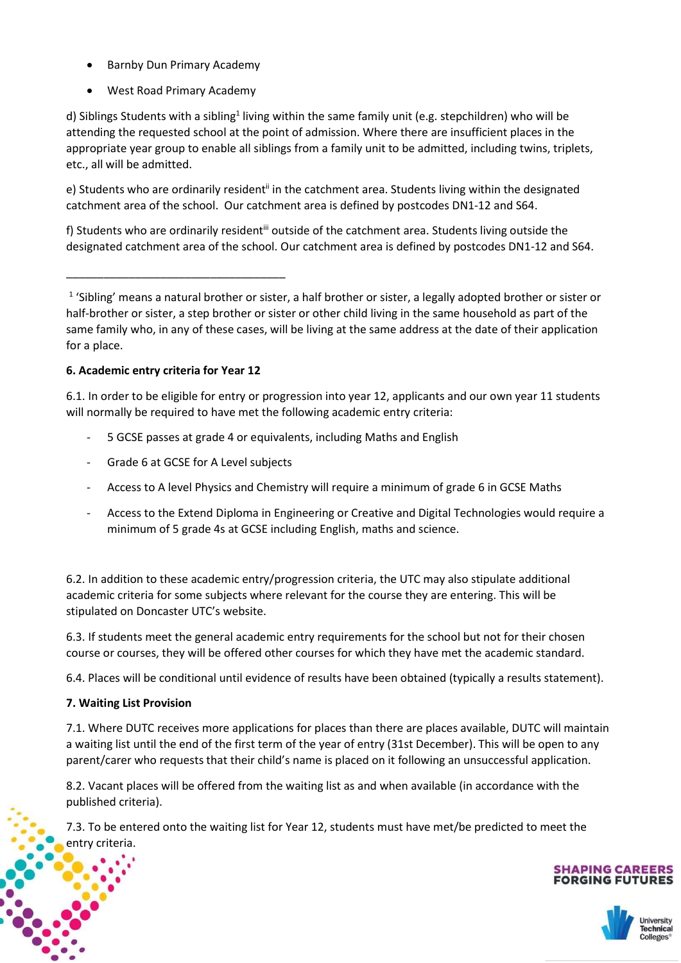- Barnby Dun Primary Academy
- West Road Primary Academy

d) Siblings Students with a sibling<sup>1</sup> living within the same family unit (e.g. stepchildren) who will be attending the requested school at the point of admission. Where there are insufficient places in the appropriate year group to enable all siblings from a family unit to be admitted, including twins, triplets, etc., all will be admitted.

e) Students who are ordinarily resident<sup>ii</sup> in the catchment area. Students living within the designated catchment area of the school. Our catchment area is defined by postcodes DN1-12 and S64.

f) Students who are ordinarily resident<sup>iii</sup> outside of the catchment area. Students living outside the designated catchment area of the school. Our catchment area is defined by postcodes DN1-12 and S64.

\_\_\_\_\_\_\_\_\_\_\_\_\_\_\_\_\_\_\_\_\_\_\_\_\_\_\_\_\_\_\_\_\_\_\_

<sup>1</sup> 'Sibling' means a natural brother or sister, a half brother or sister, a legally adopted brother or sister or half-brother or sister, a step brother or sister or other child living in the same household as part of the same family who, in any of these cases, will be living at the same address at the date of their application for a place.

# 6. Academic entry criteria for Year 12

6.1. In order to be eligible for entry or progression into year 12, applicants and our own year 11 students will normally be required to have met the following academic entry criteria:

- 5 GCSE passes at grade 4 or equivalents, including Maths and English
- Grade 6 at GCSE for A Level subjects
- Access to A level Physics and Chemistry will require a minimum of grade 6 in GCSE Maths
- Access to the Extend Diploma in Engineering or Creative and Digital Technologies would require a minimum of 5 grade 4s at GCSE including English, maths and science.

6.2. In addition to these academic entry/progression criteria, the UTC may also stipulate additional academic criteria for some subjects where relevant for the course they are entering. This will be stipulated on Doncaster UTC's website.

6.3. If students meet the general academic entry requirements for the school but not for their chosen course or courses, they will be offered other courses for which they have met the academic standard.

6.4. Places will be conditional until evidence of results have been obtained (typically a results statement).

# 7. Waiting List Provision

l

į

7.1. Where DUTC receives more applications for places than there are places available, DUTC will maintain a waiting list until the end of the first term of the year of entry (31st December). This will be open to any parent/carer who requests that their child's name is placed on it following an unsuccessful application.

8.2. Vacant places will be offered from the waiting list as and when available (in accordance with the published criteria).

7.3. To be entered onto the waiting list for Year 12, students must have met/be predicted to meet the entry criteria.